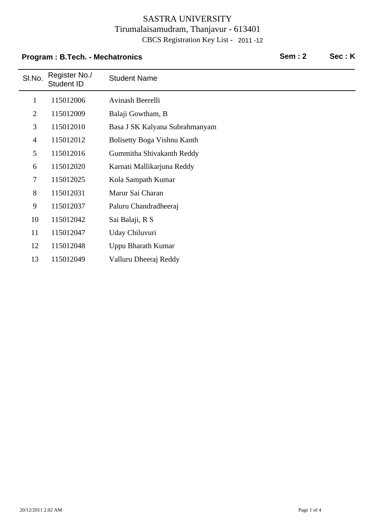## **Program : B.Tech. - Mechatronics Sem : 2 Sec : K**

| SI.No.         | Register No./<br>Student ID | <b>Student Name</b>            |
|----------------|-----------------------------|--------------------------------|
| $\mathbf{1}$   | 115012006                   | Avinash Beerelli               |
| $\overline{2}$ | 115012009                   | Balaji Gowtham, B              |
| 3              | 115012010                   | Basa J SK Kalyana Subrahmanyam |
| $\overline{4}$ | 115012012                   | Bolisetty Boga Vishnu Kanth    |
| 5              | 115012016                   | Gummitha Shivakanth Reddy      |
| 6              | 115012020                   | Karnati Mallikarjuna Reddy     |
| $\overline{7}$ | 115012025                   | Kola Sampath Kumar             |
| 8              | 115012031                   | Marur Sai Charan               |
| 9              | 115012037                   | Paluru Chandradheeraj          |
| 10             | 115012042                   | Sai Balaji, R S                |
| 11             | 115012047                   | Uday Chiluvuri                 |
| 12             | 115012048                   | Uppu Bharath Kumar             |
| 13             | 115012049                   | Valluru Dheeraj Reddy          |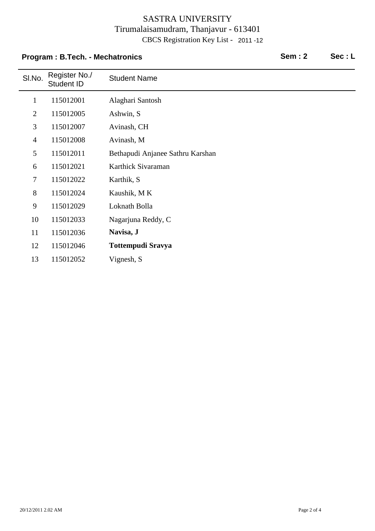## **Program : B.Tech. - Mechatronics Sem : 2 Sec : L**

| SI.No.         | Register No./<br>Student ID | <b>Student Name</b>              |
|----------------|-----------------------------|----------------------------------|
| $\mathbf{1}$   | 115012001                   | Alaghari Santosh                 |
| $\overline{2}$ | 115012005                   | Ashwin, S                        |
| 3              | 115012007                   | Avinash, CH                      |
| $\overline{4}$ | 115012008                   | Avinash, M                       |
| 5              | 115012011                   | Bethapudi Anjanee Sathru Karshan |
| 6              | 115012021                   | Karthick Sivaraman               |
| $\overline{7}$ | 115012022                   | Karthik, S                       |
| 8              | 115012024                   | Kaushik, MK                      |
| 9              | 115012029                   | Loknath Bolla                    |
| 10             | 115012033                   | Nagarjuna Reddy, C               |
| 11             | 115012036                   | Navisa, J                        |
| 12             | 115012046                   | <b>Tottempudi Sravya</b>         |
| 13             | 115012052                   | Vignesh, S                       |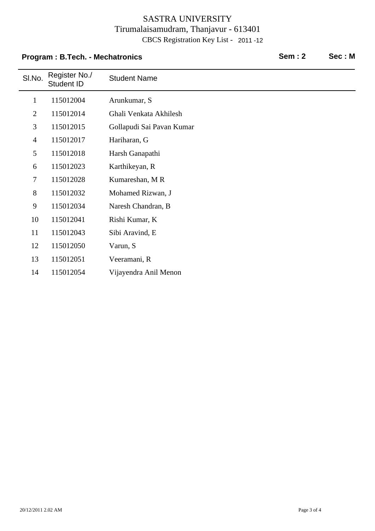# SI.No. Register No./<br>Student ID **Student Name Program : B.Tech. - Mechatronics Community Community Sem : 2 Sec : M** 1 115012004 Arunkumar, S 2 115012014 Ghali Venkata Akhilesh 3 115012015 Gollapudi Sai Pavan Kumar 4 Hariharan, G 115012017 5 Harsh Ganapathi 115012018 6 Karthikeyan, R 115012023 7 115012028 Kumareshan, MR 8 115012032 Mohamed Rizwan, J 9 Naresh Chandran, B 115012034 10 Rishi Kumar, K 115012041 11 Sibi Aravind, E 115012043 12 115012050 Varun, S 13 Veeramani, R 115012051 14 Vijayendra Anil Menon 115012054